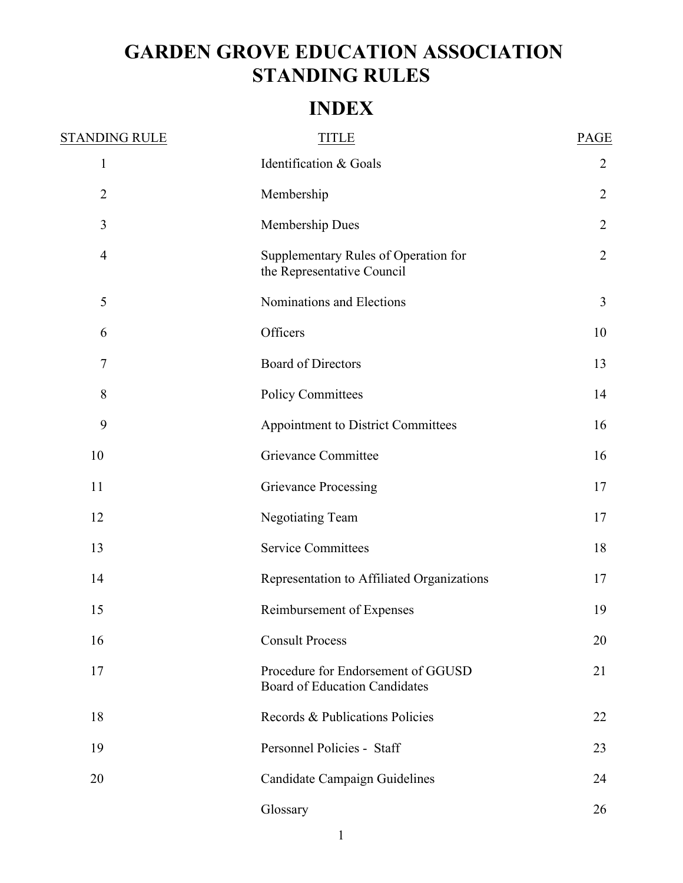# **GARDEN GROVE EDUCATION ASSOCIATION STANDING RULES**

# **INDEX**

| <b>STANDING RULE</b> | <b>TITLE</b>                                                               | PAGE           |
|----------------------|----------------------------------------------------------------------------|----------------|
| $\mathbf{1}$         | Identification & Goals                                                     | $\overline{2}$ |
| $\overline{2}$       | Membership                                                                 | $\overline{2}$ |
| 3                    | Membership Dues                                                            | $\overline{2}$ |
| $\overline{4}$       | Supplementary Rules of Operation for<br>the Representative Council         | $\overline{2}$ |
| 5                    | Nominations and Elections                                                  | 3              |
| 6                    | Officers                                                                   | 10             |
| $\tau$               | <b>Board of Directors</b>                                                  | 13             |
| 8                    | <b>Policy Committees</b>                                                   | 14             |
| 9                    | Appointment to District Committees                                         | 16             |
| 10                   | Grievance Committee                                                        | 16             |
| 11                   | Grievance Processing                                                       | 17             |
| 12                   | <b>Negotiating Team</b>                                                    | 17             |
| 13                   | <b>Service Committees</b>                                                  | 18             |
| 14                   | Representation to Affiliated Organizations                                 | 17             |
| 15                   | Reimbursement of Expenses                                                  | 19             |
| 16                   | <b>Consult Process</b>                                                     | 20             |
| 17                   | Procedure for Endorsement of GGUSD<br><b>Board of Education Candidates</b> | 21             |
| 18                   | Records & Publications Policies                                            | 22             |
| 19                   | Personnel Policies - Staff                                                 | 23             |
| 20                   | <b>Candidate Campaign Guidelines</b>                                       | 24             |
|                      | Glossary                                                                   | 26             |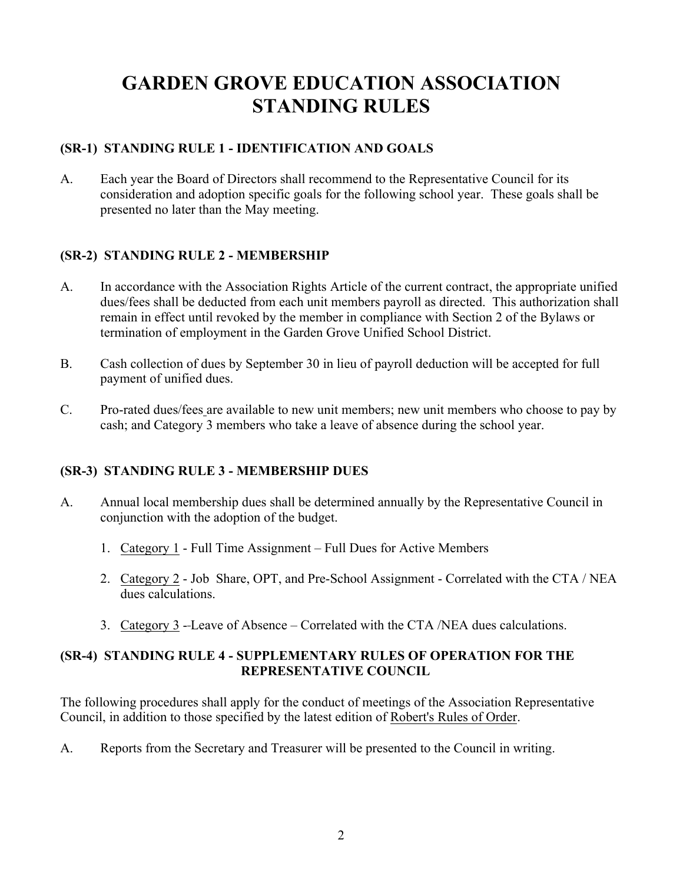# **GARDEN GROVE EDUCATION ASSOCIATION STANDING RULES**

# **(SR-1) STANDING RULE 1 - IDENTIFICATION AND GOALS**

A. Each year the Board of Directors shall recommend to the Representative Council for its consideration and adoption specific goals for the following school year. These goals shall be presented no later than the May meeting.

# **(SR-2) STANDING RULE 2 - MEMBERSHIP**

- A. In accordance with the Association Rights Article of the current contract, the appropriate unified dues/fees shall be deducted from each unit members payroll as directed. This authorization shall remain in effect until revoked by the member in compliance with Section 2 of the Bylaws or termination of employment in the Garden Grove Unified School District.
- B. Cash collection of dues by September 30 in lieu of payroll deduction will be accepted for full payment of unified dues.
- C. Pro-rated dues/fees are available to new unit members; new unit members who choose to pay by cash; and Category 3 members who take a leave of absence during the school year.

## **(SR-3) STANDING RULE 3 - MEMBERSHIP DUES**

- A. Annual local membership dues shall be determined annually by the Representative Council in conjunction with the adoption of the budget.
	- 1. Category 1 Full Time Assignment Full Dues for Active Members
	- 2. Category 2 Job Share, OPT, and Pre-School Assignment Correlated with the CTA / NEA dues calculations.
	- 3. Category 3 Leave of Absence Correlated with the CTA /NEA dues calculations.

# **(SR-4) STANDING RULE 4 - SUPPLEMENTARY RULES OF OPERATION FOR THE REPRESENTATIVE COUNCIL**

The following procedures shall apply for the conduct of meetings of the Association Representative Council, in addition to those specified by the latest edition of Robert's Rules of Order.

A. Reports from the Secretary and Treasurer will be presented to the Council in writing.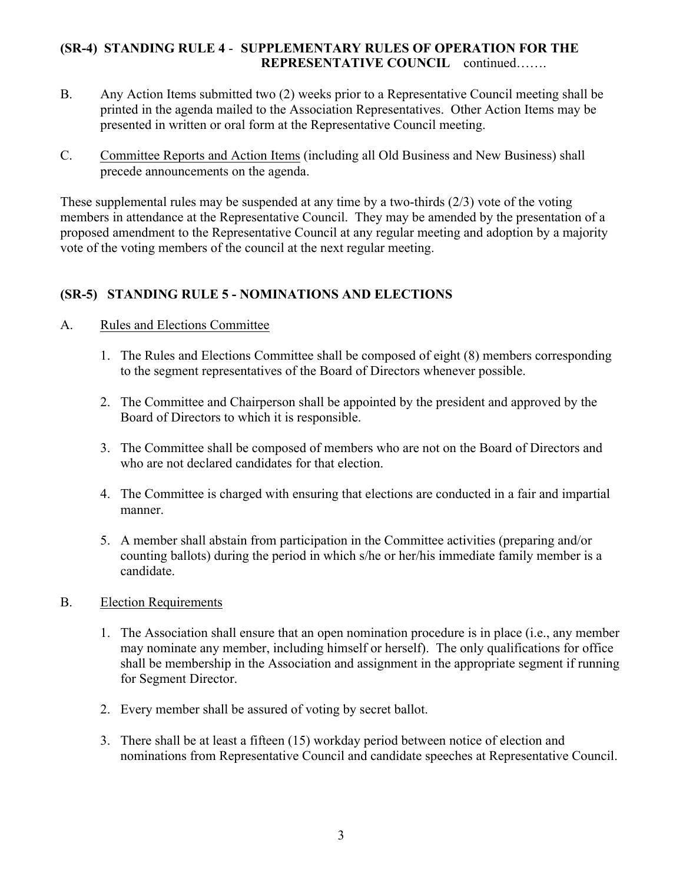## **(SR-4) STANDING RULE 4** - **SUPPLEMENTARY RULES OF OPERATION FOR THE REPRESENTATIVE COUNCIL** continued…….

- B. Any Action Items submitted two (2) weeks prior to a Representative Council meeting shall be printed in the agenda mailed to the Association Representatives. Other Action Items may be presented in written or oral form at the Representative Council meeting.
- C. Committee Reports and Action Items (including all Old Business and New Business) shall precede announcements on the agenda.

These supplemental rules may be suspended at any time by a two-thirds (2/3) vote of the voting members in attendance at the Representative Council. They may be amended by the presentation of a proposed amendment to the Representative Council at any regular meeting and adoption by a majority vote of the voting members of the council at the next regular meeting.

# **(SR-5) STANDING RULE 5 - NOMINATIONS AND ELECTIONS**

## A. Rules and Elections Committee

- 1. The Rules and Elections Committee shall be composed of eight (8) members corresponding to the segment representatives of the Board of Directors whenever possible.
- 2. The Committee and Chairperson shall be appointed by the president and approved by the Board of Directors to which it is responsible.
- 3. The Committee shall be composed of members who are not on the Board of Directors and who are not declared candidates for that election
- 4. The Committee is charged with ensuring that elections are conducted in a fair and impartial manner.
- 5. A member shall abstain from participation in the Committee activities (preparing and/or counting ballots) during the period in which s/he or her/his immediate family member is a candidate.

## B. Election Requirements

- 1. The Association shall ensure that an open nomination procedure is in place (i.e., any member may nominate any member, including himself or herself). The only qualifications for office shall be membership in the Association and assignment in the appropriate segment if running for Segment Director.
- 2. Every member shall be assured of voting by secret ballot.
- 3. There shall be at least a fifteen (15) workday period between notice of election and nominations from Representative Council and candidate speeches at Representative Council.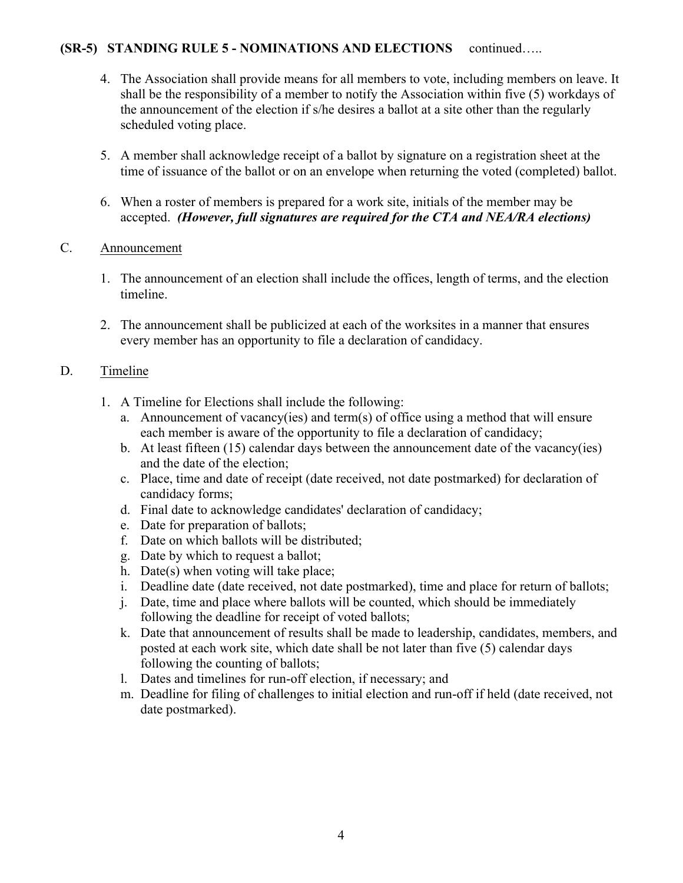- 4. The Association shall provide means for all members to vote, including members on leave. It shall be the responsibility of a member to notify the Association within five (5) workdays of the announcement of the election if s/he desires a ballot at a site other than the regularly scheduled voting place.
- 5. A member shall acknowledge receipt of a ballot by signature on a registration sheet at the time of issuance of the ballot or on an envelope when returning the voted (completed) ballot.
- 6. When a roster of members is prepared for a work site, initials of the member may be accepted. *(However, full signatures are required for the CTA and NEA/RA elections)*

# C. Announcement

- 1. The announcement of an election shall include the offices, length of terms, and the election timeline.
- 2. The announcement shall be publicized at each of the worksites in a manner that ensures every member has an opportunity to file a declaration of candidacy.

# D. Timeline

- 1. A Timeline for Elections shall include the following:
	- a. Announcement of vacancy(ies) and term(s) of office using a method that will ensure each member is aware of the opportunity to file a declaration of candidacy;
	- b. At least fifteen (15) calendar days between the announcement date of the vacancy(ies) and the date of the election;
	- c. Place, time and date of receipt (date received, not date postmarked) for declaration of candidacy forms;
	- d. Final date to acknowledge candidates' declaration of candidacy;
	- e. Date for preparation of ballots;
	- f. Date on which ballots will be distributed;
	- g. Date by which to request a ballot;
	- h. Date(s) when voting will take place;
	- i. Deadline date (date received, not date postmarked), time and place for return of ballots;
	- j. Date, time and place where ballots will be counted, which should be immediately following the deadline for receipt of voted ballots;
	- k. Date that announcement of results shall be made to leadership, candidates, members, and posted at each work site, which date shall be not later than five (5) calendar days following the counting of ballots;
	- l. Dates and timelines for run-off election, if necessary; and
	- m. Deadline for filing of challenges to initial election and run-off if held (date received, not date postmarked).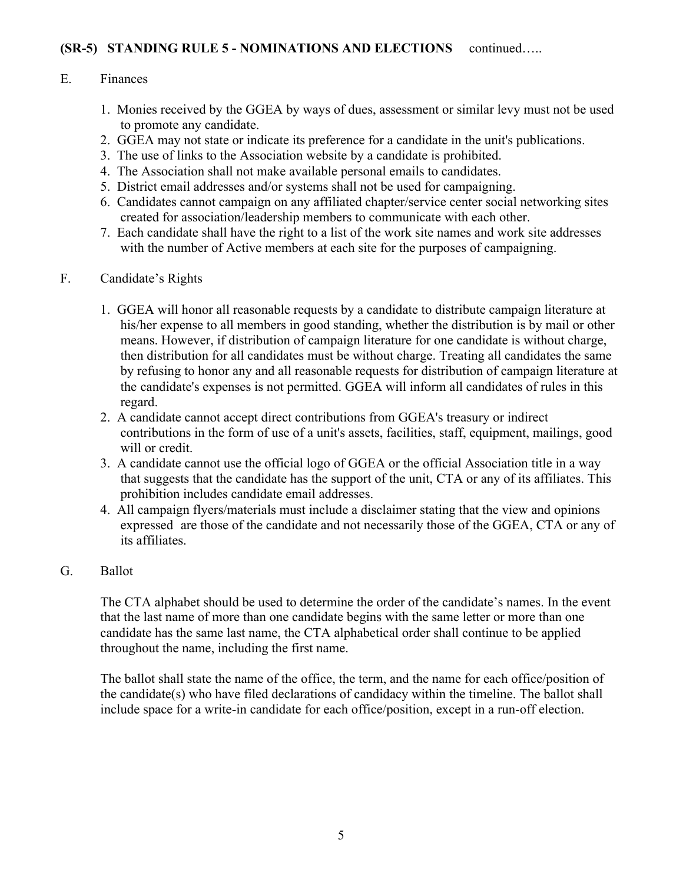## E. Finances

- 1. Monies received by the GGEA by ways of dues, assessment or similar levy must not be used to promote any candidate.
- 2. GGEA may not state or indicate its preference for a candidate in the unit's publications.
- 3. The use of links to the Association website by a candidate is prohibited.
- 4. The Association shall not make available personal emails to candidates.
- 5. District email addresses and/or systems shall not be used for campaigning.
- 6. Candidates cannot campaign on any affiliated chapter/service center social networking sites created for association/leadership members to communicate with each other.
- 7. Each candidate shall have the right to a list of the work site names and work site addresses with the number of Active members at each site for the purposes of campaigning.

#### F. Candidate's Rights

- 1. GGEA will honor all reasonable requests by a candidate to distribute campaign literature at his/her expense to all members in good standing, whether the distribution is by mail or other means. However, if distribution of campaign literature for one candidate is without charge, then distribution for all candidates must be without charge. Treating all candidates the same by refusing to honor any and all reasonable requests for distribution of campaign literature at the candidate's expenses is not permitted. GGEA will inform all candidates of rules in this regard.
- 2. A candidate cannot accept direct contributions from GGEA's treasury or indirect contributions in the form of use of a unit's assets, facilities, staff, equipment, mailings, good will or credit.
- 3. A candidate cannot use the official logo of GGEA or the official Association title in a way that suggests that the candidate has the support of the unit, CTA or any of its affiliates. This prohibition includes candidate email addresses.
- 4. All campaign flyers/materials must include a disclaimer stating that the view and opinions expressed are those of the candidate and not necessarily those of the GGEA, CTA or any of its affiliates.

## G. Ballot

The CTA alphabet should be used to determine the order of the candidate's names. In the event that the last name of more than one candidate begins with the same letter or more than one candidate has the same last name, the CTA alphabetical order shall continue to be applied throughout the name, including the first name.

The ballot shall state the name of the office, the term, and the name for each office/position of the candidate(s) who have filed declarations of candidacy within the timeline. The ballot shall include space for a write-in candidate for each office/position, except in a run-off election.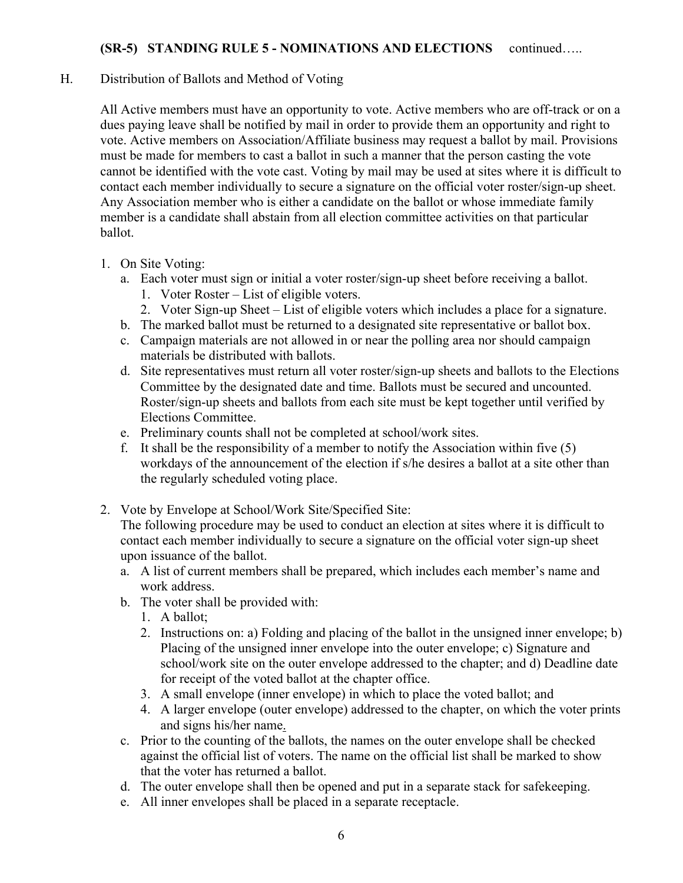#### H. Distribution of Ballots and Method of Voting

All Active members must have an opportunity to vote. Active members who are off-track or on a dues paying leave shall be notified by mail in order to provide them an opportunity and right to vote. Active members on Association/Affiliate business may request a ballot by mail. Provisions must be made for members to cast a ballot in such a manner that the person casting the vote cannot be identified with the vote cast. Voting by mail may be used at sites where it is difficult to contact each member individually to secure a signature on the official voter roster/sign-up sheet. Any Association member who is either a candidate on the ballot or whose immediate family member is a candidate shall abstain from all election committee activities on that particular ballot.

- 1. On Site Voting:
	- a. Each voter must sign or initial a voter roster/sign-up sheet before receiving a ballot.
		- 1. Voter Roster List of eligible voters.
		- 2. Voter Sign-up Sheet List of eligible voters which includes a place for a signature.
	- b. The marked ballot must be returned to a designated site representative or ballot box.
	- c. Campaign materials are not allowed in or near the polling area nor should campaign materials be distributed with ballots.
	- d. Site representatives must return all voter roster/sign-up sheets and ballots to the Elections Committee by the designated date and time. Ballots must be secured and uncounted. Roster/sign-up sheets and ballots from each site must be kept together until verified by Elections Committee.
	- e. Preliminary counts shall not be completed at school/work sites.
	- f. It shall be the responsibility of a member to notify the Association within five (5) workdays of the announcement of the election if s/he desires a ballot at a site other than the regularly scheduled voting place.
- 2. Vote by Envelope at School/Work Site/Specified Site:

The following procedure may be used to conduct an election at sites where it is difficult to contact each member individually to secure a signature on the official voter sign-up sheet upon issuance of the ballot.

- a. A list of current members shall be prepared, which includes each member's name and work address.
- b. The voter shall be provided with:
	- 1. A ballot;
	- 2. Instructions on: a) Folding and placing of the ballot in the unsigned inner envelope; b) Placing of the unsigned inner envelope into the outer envelope; c) Signature and school/work site on the outer envelope addressed to the chapter; and d) Deadline date for receipt of the voted ballot at the chapter office.
	- 3. A small envelope (inner envelope) in which to place the voted ballot; and
	- 4. A larger envelope (outer envelope) addressed to the chapter, on which the voter prints and signs his/her name.
- c. Prior to the counting of the ballots, the names on the outer envelope shall be checked against the official list of voters. The name on the official list shall be marked to show that the voter has returned a ballot.
- d. The outer envelope shall then be opened and put in a separate stack for safekeeping.
- e. All inner envelopes shall be placed in a separate receptacle.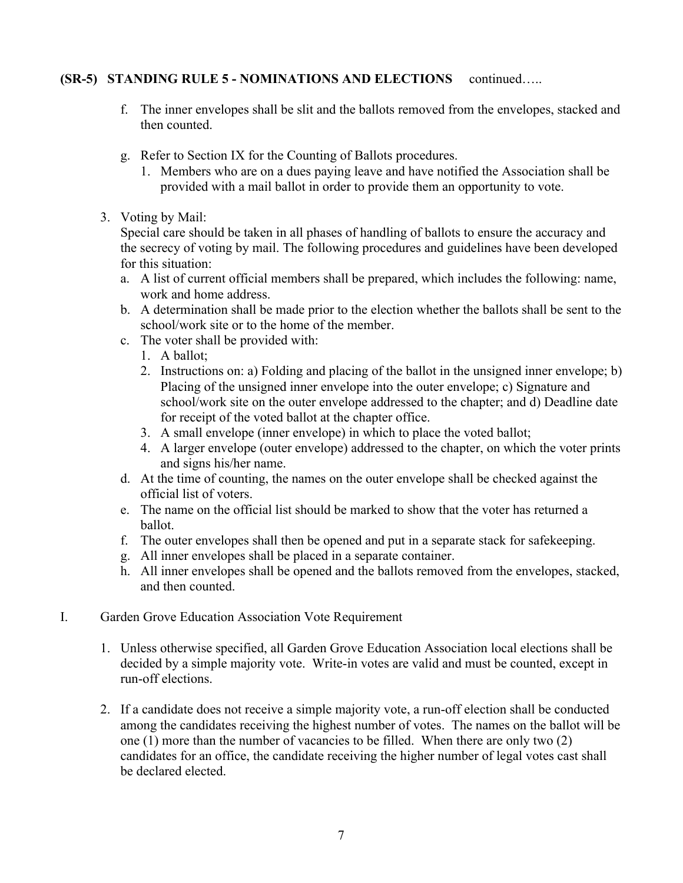- f. The inner envelopes shall be slit and the ballots removed from the envelopes, stacked and then counted.
- g. Refer to Section IX for the Counting of Ballots procedures.
	- 1. Members who are on a dues paying leave and have notified the Association shall be provided with a mail ballot in order to provide them an opportunity to vote.
- 3. Voting by Mail:

Special care should be taken in all phases of handling of ballots to ensure the accuracy and the secrecy of voting by mail. The following procedures and guidelines have been developed for this situation:

- a. A list of current official members shall be prepared, which includes the following: name, work and home address.
- b. A determination shall be made prior to the election whether the ballots shall be sent to the school/work site or to the home of the member.
- c. The voter shall be provided with:
	- 1. A ballot;
	- 2. Instructions on: a) Folding and placing of the ballot in the unsigned inner envelope; b) Placing of the unsigned inner envelope into the outer envelope; c) Signature and school/work site on the outer envelope addressed to the chapter; and d) Deadline date for receipt of the voted ballot at the chapter office.
	- 3. A small envelope (inner envelope) in which to place the voted ballot;
	- 4. A larger envelope (outer envelope) addressed to the chapter, on which the voter prints and signs his/her name.
- d. At the time of counting, the names on the outer envelope shall be checked against the official list of voters.
- e. The name on the official list should be marked to show that the voter has returned a ballot.
- f. The outer envelopes shall then be opened and put in a separate stack for safekeeping.
- g. All inner envelopes shall be placed in a separate container.
- h. All inner envelopes shall be opened and the ballots removed from the envelopes, stacked, and then counted.
- I. Garden Grove Education Association Vote Requirement
	- 1. Unless otherwise specified, all Garden Grove Education Association local elections shall be decided by a simple majority vote. Write-in votes are valid and must be counted, except in run-off elections.
	- 2. If a candidate does not receive a simple majority vote, a run-off election shall be conducted among the candidates receiving the highest number of votes. The names on the ballot will be one (1) more than the number of vacancies to be filled. When there are only two (2) candidates for an office, the candidate receiving the higher number of legal votes cast shall be declared elected.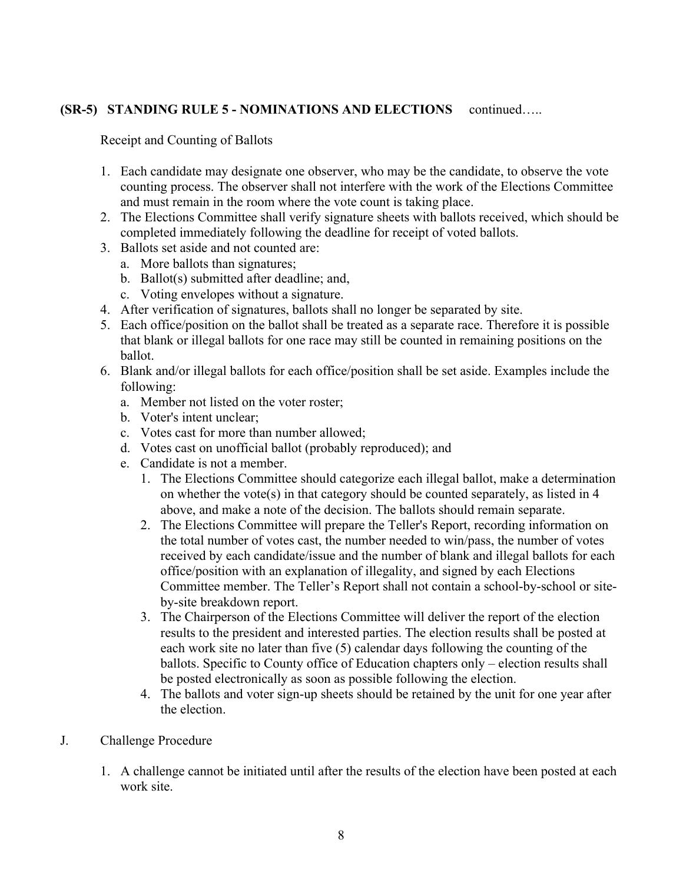Receipt and Counting of Ballots

- 1. Each candidate may designate one observer, who may be the candidate, to observe the vote counting process. The observer shall not interfere with the work of the Elections Committee and must remain in the room where the vote count is taking place.
- 2. The Elections Committee shall verify signature sheets with ballots received, which should be completed immediately following the deadline for receipt of voted ballots.
- 3. Ballots set aside and not counted are:
	- a. More ballots than signatures;
	- b. Ballot(s) submitted after deadline; and,
	- c. Voting envelopes without a signature.
- 4. After verification of signatures, ballots shall no longer be separated by site.
- 5. Each office/position on the ballot shall be treated as a separate race. Therefore it is possible that blank or illegal ballots for one race may still be counted in remaining positions on the ballot.
- 6. Blank and/or illegal ballots for each office/position shall be set aside. Examples include the following:
	- a. Member not listed on the voter roster;
	- b. Voter's intent unclear;
	- c. Votes cast for more than number allowed;
	- d. Votes cast on unofficial ballot (probably reproduced); and
	- e. Candidate is not a member.
		- 1. The Elections Committee should categorize each illegal ballot, make a determination on whether the vote(s) in that category should be counted separately, as listed in 4 above, and make a note of the decision. The ballots should remain separate.
		- 2. The Elections Committee will prepare the Teller's Report, recording information on the total number of votes cast, the number needed to win/pass, the number of votes received by each candidate/issue and the number of blank and illegal ballots for each office/position with an explanation of illegality, and signed by each Elections Committee member. The Teller's Report shall not contain a school-by-school or siteby-site breakdown report.
		- 3. The Chairperson of the Elections Committee will deliver the report of the election results to the president and interested parties. The election results shall be posted at each work site no later than five (5) calendar days following the counting of the ballots. Specific to County office of Education chapters only – election results shall be posted electronically as soon as possible following the election.
		- 4. The ballots and voter sign-up sheets should be retained by the unit for one year after the election.
- J. Challenge Procedure
	- 1. A challenge cannot be initiated until after the results of the election have been posted at each work site.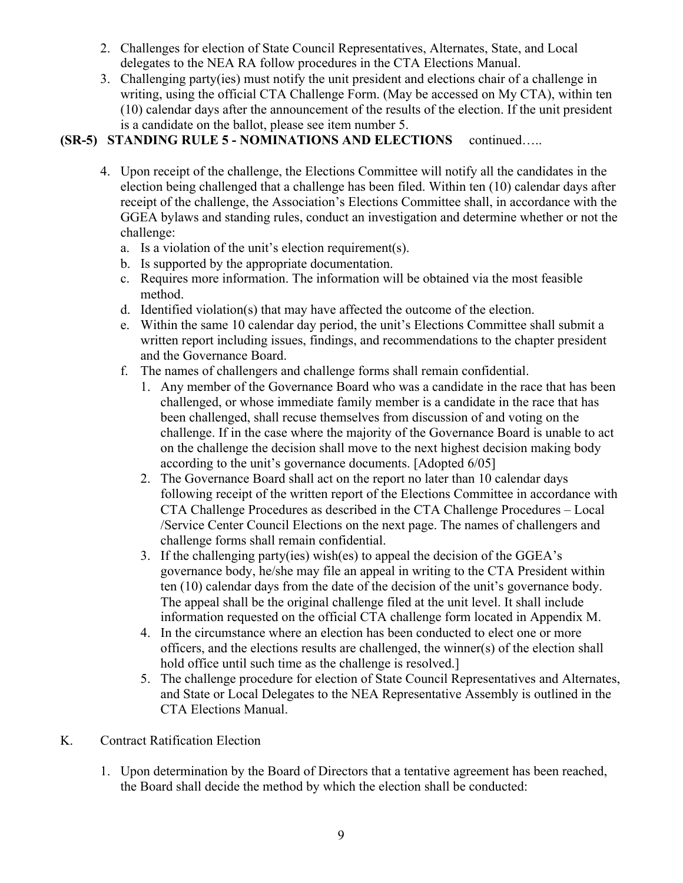- 2. Challenges for election of State Council Representatives, Alternates, State, and Local delegates to the NEA RA follow procedures in the CTA Elections Manual.
- 3. Challenging party(ies) must notify the unit president and elections chair of a challenge in writing, using the official CTA Challenge Form. (May be accessed on My CTA), within ten (10) calendar days after the announcement of the results of the election. If the unit president is a candidate on the ballot, please see item number 5.

- 4. Upon receipt of the challenge, the Elections Committee will notify all the candidates in the election being challenged that a challenge has been filed. Within ten (10) calendar days after receipt of the challenge, the Association's Elections Committee shall, in accordance with the GGEA bylaws and standing rules, conduct an investigation and determine whether or not the challenge:
	- a. Is a violation of the unit's election requirement(s).
	- b. Is supported by the appropriate documentation.
	- c. Requires more information. The information will be obtained via the most feasible method.
	- d. Identified violation(s) that may have affected the outcome of the election.
	- e. Within the same 10 calendar day period, the unit's Elections Committee shall submit a written report including issues, findings, and recommendations to the chapter president and the Governance Board.
	- f. The names of challengers and challenge forms shall remain confidential.
		- 1. Any member of the Governance Board who was a candidate in the race that has been challenged, or whose immediate family member is a candidate in the race that has been challenged, shall recuse themselves from discussion of and voting on the challenge. If in the case where the majority of the Governance Board is unable to act on the challenge the decision shall move to the next highest decision making body according to the unit's governance documents. [Adopted 6/05]
		- 2. The Governance Board shall act on the report no later than 10 calendar days following receipt of the written report of the Elections Committee in accordance with CTA Challenge Procedures as described in the CTA Challenge Procedures – Local /Service Center Council Elections on the next page. The names of challengers and challenge forms shall remain confidential.
		- 3. If the challenging party(ies) wish(es) to appeal the decision of the GGEA's governance body, he/she may file an appeal in writing to the CTA President within ten (10) calendar days from the date of the decision of the unit's governance body. The appeal shall be the original challenge filed at the unit level. It shall include information requested on the official CTA challenge form located in Appendix M.
		- 4. In the circumstance where an election has been conducted to elect one or more officers, and the elections results are challenged, the winner(s) of the election shall hold office until such time as the challenge is resolved.
		- 5. The challenge procedure for election of State Council Representatives and Alternates, and State or Local Delegates to the NEA Representative Assembly is outlined in the CTA Elections Manual.
- K. Contract Ratification Election
	- 1. Upon determination by the Board of Directors that a tentative agreement has been reached, the Board shall decide the method by which the election shall be conducted: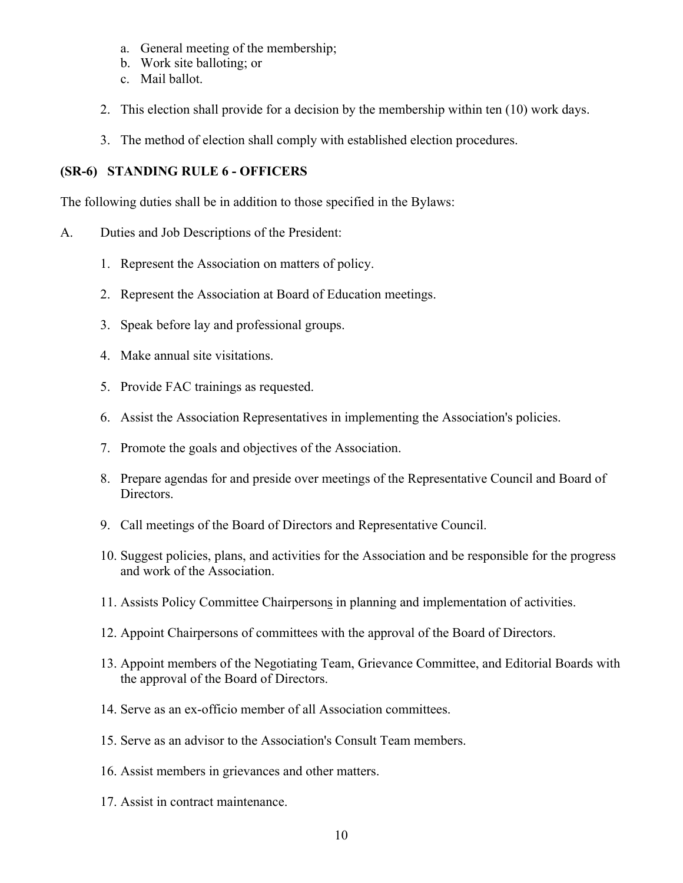- a. General meeting of the membership;
- b. Work site balloting; or
- c. Mail ballot.
- 2. This election shall provide for a decision by the membership within ten (10) work days.
- 3. The method of election shall comply with established election procedures.

## **(SR-6) STANDING RULE 6 - OFFICERS**

The following duties shall be in addition to those specified in the Bylaws:

- A. Duties and Job Descriptions of the President:
	- 1. Represent the Association on matters of policy.
	- 2. Represent the Association at Board of Education meetings.
	- 3. Speak before lay and professional groups.
	- 4. Make annual site visitations.
	- 5. Provide FAC trainings as requested.
	- 6. Assist the Association Representatives in implementing the Association's policies.
	- 7. Promote the goals and objectives of the Association.
	- 8. Prepare agendas for and preside over meetings of the Representative Council and Board of Directors.
	- 9. Call meetings of the Board of Directors and Representative Council.
	- 10. Suggest policies, plans, and activities for the Association and be responsible for the progress and work of the Association.
	- 11. Assists Policy Committee Chairpersons in planning and implementation of activities.
	- 12. Appoint Chairpersons of committees with the approval of the Board of Directors.
	- 13. Appoint members of the Negotiating Team, Grievance Committee, and Editorial Boards with the approval of the Board of Directors.
	- 14. Serve as an ex-officio member of all Association committees.
	- 15. Serve as an advisor to the Association's Consult Team members.
	- 16. Assist members in grievances and other matters.
	- 17. Assist in contract maintenance.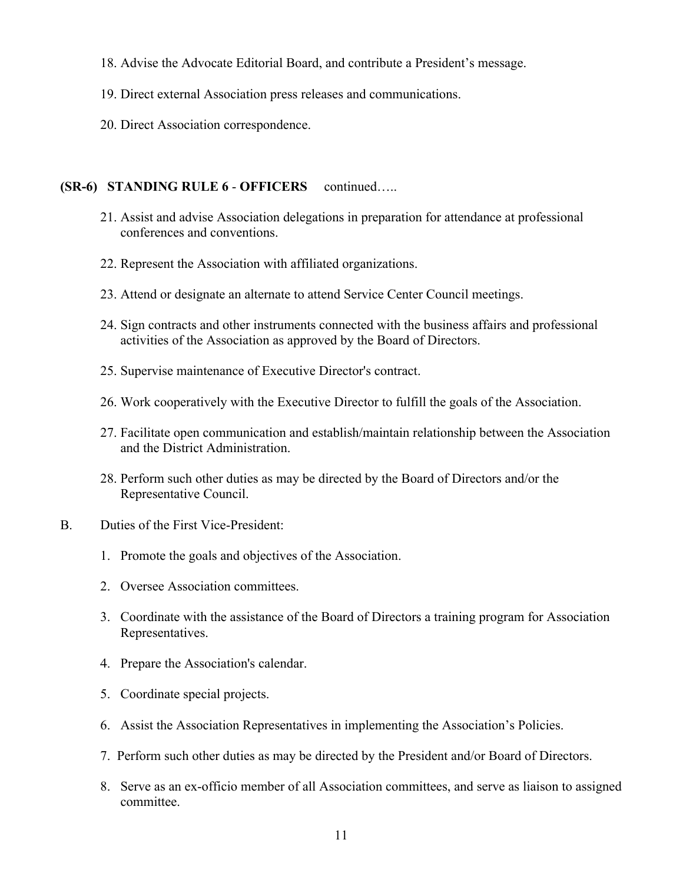- 18. Advise the Advocate Editorial Board, and contribute a President's message.
- 19. Direct external Association press releases and communications.
- 20. Direct Association correspondence.

#### **(SR-6) STANDING RULE 6** - **OFFICERS** continued…..

- 21. Assist and advise Association delegations in preparation for attendance at professional conferences and conventions.
- 22. Represent the Association with affiliated organizations.
- 23. Attend or designate an alternate to attend Service Center Council meetings.
- 24. Sign contracts and other instruments connected with the business affairs and professional activities of the Association as approved by the Board of Directors.
- 25. Supervise maintenance of Executive Director's contract.
- 26. Work cooperatively with the Executive Director to fulfill the goals of the Association.
- 27. Facilitate open communication and establish/maintain relationship between the Association and the District Administration.
- 28. Perform such other duties as may be directed by the Board of Directors and/or the Representative Council.
- B. Duties of the First Vice-President:
	- 1. Promote the goals and objectives of the Association.
	- 2. Oversee Association committees.
	- 3. Coordinate with the assistance of the Board of Directors a training program for Association Representatives.
	- 4. Prepare the Association's calendar.
	- 5. Coordinate special projects.
	- 6. Assist the Association Representatives in implementing the Association's Policies.
	- 7. Perform such other duties as may be directed by the President and/or Board of Directors.
	- 8. Serve as an ex-officio member of all Association committees, and serve as liaison to assigned committee.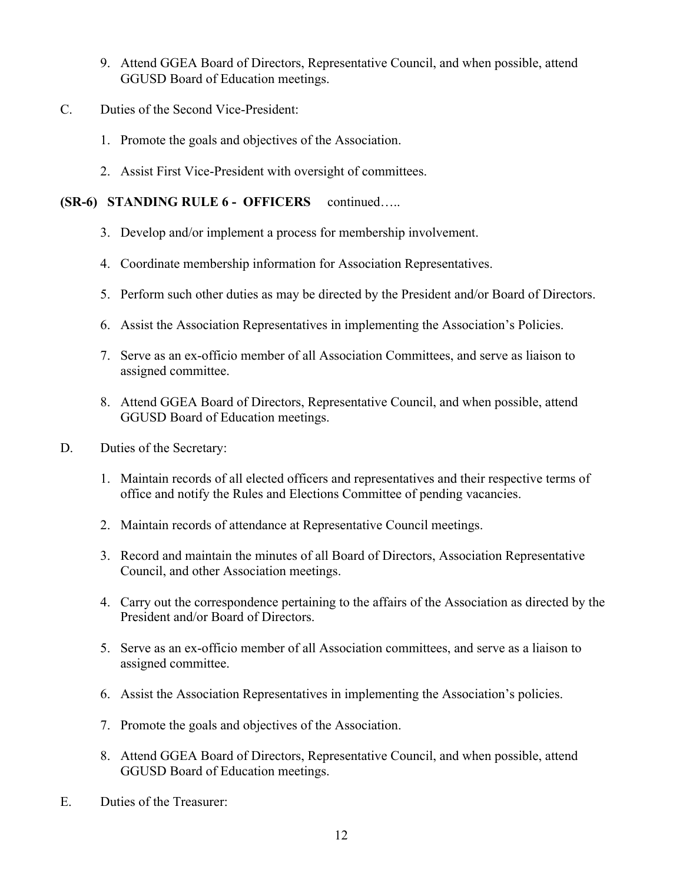- 9. Attend GGEA Board of Directors, Representative Council, and when possible, attend GGUSD Board of Education meetings.
- C. Duties of the Second Vice-President:
	- 1. Promote the goals and objectives of the Association.
	- 2. Assist First Vice-President with oversight of committees.

## **(SR-6) STANDING RULE 6 - OFFICERS** continued…..

- 3. Develop and/or implement a process for membership involvement.
- 4. Coordinate membership information for Association Representatives.
- 5. Perform such other duties as may be directed by the President and/or Board of Directors.
- 6. Assist the Association Representatives in implementing the Association's Policies.
- 7. Serve as an ex-officio member of all Association Committees, and serve as liaison to assigned committee.
- 8. Attend GGEA Board of Directors, Representative Council, and when possible, attend GGUSD Board of Education meetings.
- D. Duties of the Secretary:
	- 1. Maintain records of all elected officers and representatives and their respective terms of office and notify the Rules and Elections Committee of pending vacancies.
	- 2. Maintain records of attendance at Representative Council meetings.
	- 3. Record and maintain the minutes of all Board of Directors, Association Representative Council, and other Association meetings.
	- 4. Carry out the correspondence pertaining to the affairs of the Association as directed by the President and/or Board of Directors.
	- 5. Serve as an ex-officio member of all Association committees, and serve as a liaison to assigned committee.
	- 6. Assist the Association Representatives in implementing the Association's policies.
	- 7. Promote the goals and objectives of the Association.
	- 8. Attend GGEA Board of Directors, Representative Council, and when possible, attend GGUSD Board of Education meetings.
- E. Duties of the Treasurer: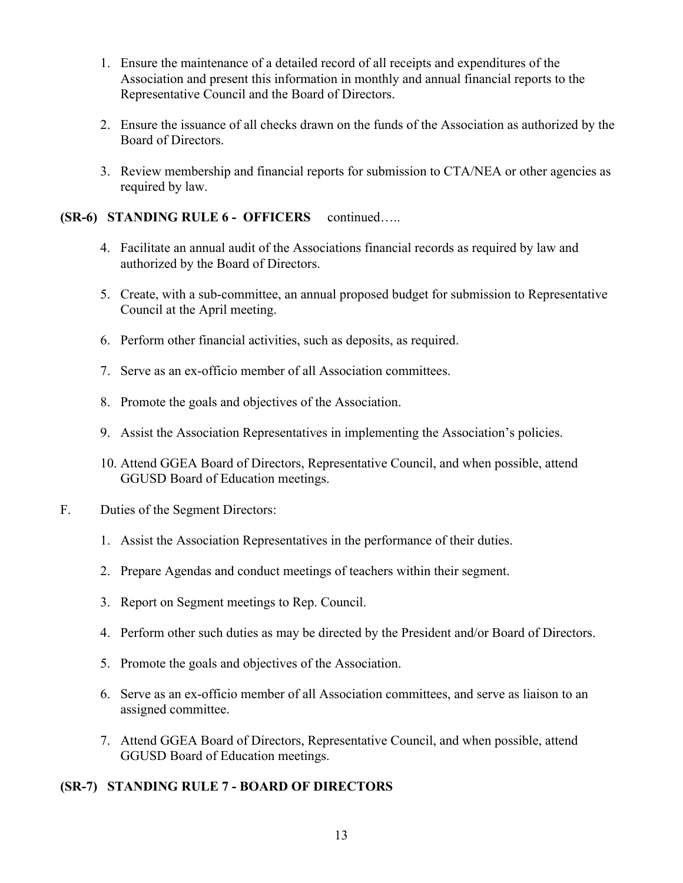- 1. Ensure the maintenance of a detailed record of all receipts and expenditures of the Association and present this information in monthly and annual financial reports to the Representative Council and the Board of Directors.
- 2. Ensure the issuance of all checks drawn on the funds of the Association as authorized by the Board of Directors.
- 3. Review membership and financial reports for submission to CTA/NEA or other agencies as required by law.

# **(SR-6) STANDING RULE 6 - OFFICERS** continued…..

- 4. Facilitate an annual audit of the Associations financial records as required by law and authorized by the Board of Directors.
- 5. Create, with a sub-committee, an annual proposed budget for submission to Representative Council at the April meeting.
- 6. Perform other financial activities, such as deposits, as required.
- 7. Serve as an ex-officio member of all Association committees.
- 8. Promote the goals and objectives of the Association.
- 9. Assist the Association Representatives in implementing the Association's policies.
- 10. Attend GGEA Board of Directors, Representative Council, and when possible, attend GGUSD Board of Education meetings.
- F. Duties of the Segment Directors:
	- 1. Assist the Association Representatives in the performance of their duties.
	- 2. Prepare Agendas and conduct meetings of teachers within their segment.
	- 3. Report on Segment meetings to Rep. Council.
	- 4. Perform other such duties as may be directed by the President and/or Board of Directors.
	- 5. Promote the goals and objectives of the Association.
	- 6. Serve as an ex-officio member of all Association committees, and serve as liaison to an assigned committee.
	- 7. Attend GGEA Board of Directors, Representative Council, and when possible, attend GGUSD Board of Education meetings.

# **(SR-7) STANDING RULE 7 - BOARD OF DIRECTORS**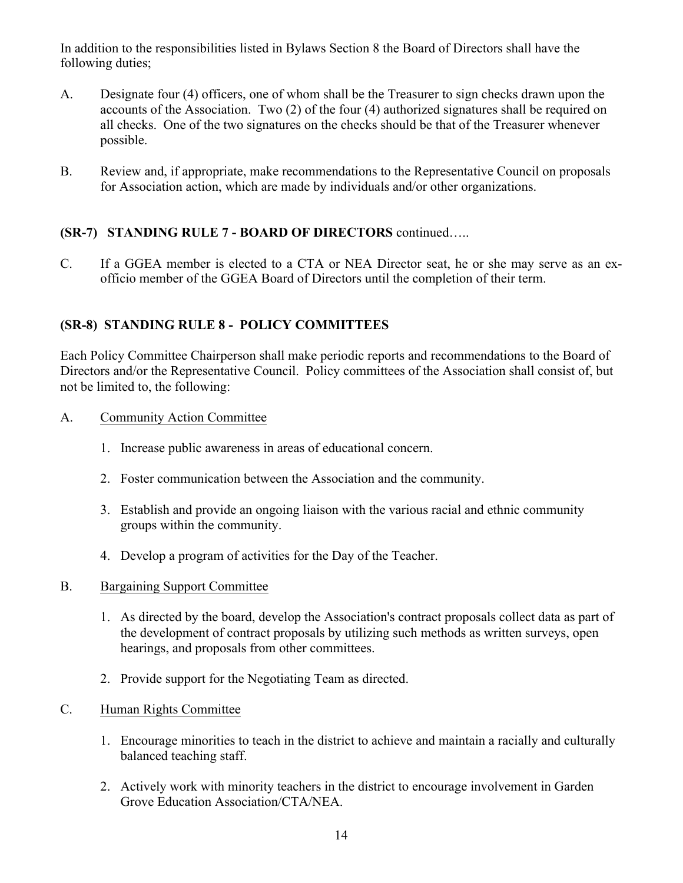In addition to the responsibilities listed in Bylaws Section 8 the Board of Directors shall have the following duties;

- A. Designate four (4) officers, one of whom shall be the Treasurer to sign checks drawn upon the accounts of the Association. Two (2) of the four (4) authorized signatures shall be required on all checks. One of the two signatures on the checks should be that of the Treasurer whenever possible.
- B. Review and, if appropriate, make recommendations to the Representative Council on proposals for Association action, which are made by individuals and/or other organizations.

# **(SR-7) STANDING RULE 7 - BOARD OF DIRECTORS** continued…..

C. If a GGEA member is elected to a CTA or NEA Director seat, he or she may serve as an exofficio member of the GGEA Board of Directors until the completion of their term.

# **(SR-8) STANDING RULE 8 - POLICY COMMITTEES**

Each Policy Committee Chairperson shall make periodic reports and recommendations to the Board of Directors and/or the Representative Council. Policy committees of the Association shall consist of, but not be limited to, the following:

- A. Community Action Committee
	- 1. Increase public awareness in areas of educational concern.
	- 2. Foster communication between the Association and the community.
	- 3. Establish and provide an ongoing liaison with the various racial and ethnic community groups within the community.
	- 4. Develop a program of activities for the Day of the Teacher.
- B. Bargaining Support Committee
	- 1. As directed by the board, develop the Association's contract proposals collect data as part of the development of contract proposals by utilizing such methods as written surveys, open hearings, and proposals from other committees.
	- 2. Provide support for the Negotiating Team as directed.
- C. Human Rights Committee
	- 1. Encourage minorities to teach in the district to achieve and maintain a racially and culturally balanced teaching staff.
	- 2. Actively work with minority teachers in the district to encourage involvement in Garden Grove Education Association/CTA/NEA.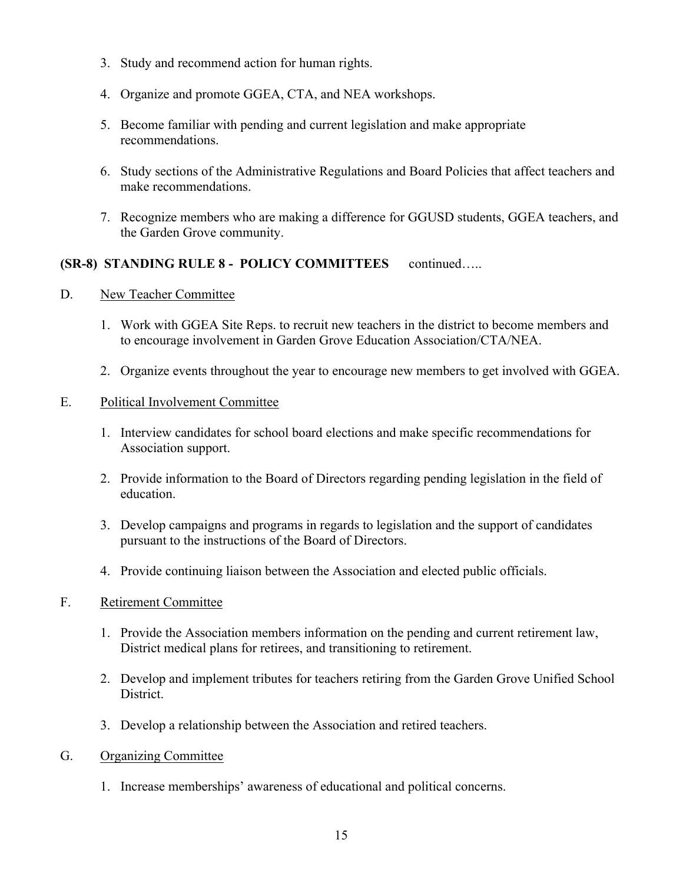- 3. Study and recommend action for human rights.
- 4. Organize and promote GGEA, CTA, and NEA workshops.
- 5. Become familiar with pending and current legislation and make appropriate recommendations.
- 6. Study sections of the Administrative Regulations and Board Policies that affect teachers and make recommendations.
- 7. Recognize members who are making a difference for GGUSD students, GGEA teachers, and the Garden Grove community.

# **(SR-8) STANDING RULE 8 - POLICY COMMITTEES** continued…..

- D. New Teacher Committee
	- 1. Work with GGEA Site Reps. to recruit new teachers in the district to become members and to encourage involvement in Garden Grove Education Association/CTA/NEA.
	- 2. Organize events throughout the year to encourage new members to get involved with GGEA.

## E. Political Involvement Committee

- 1. Interview candidates for school board elections and make specific recommendations for Association support.
- 2. Provide information to the Board of Directors regarding pending legislation in the field of education.
- 3. Develop campaigns and programs in regards to legislation and the support of candidates pursuant to the instructions of the Board of Directors.
- 4. Provide continuing liaison between the Association and elected public officials.

## F. Retirement Committee

- 1. Provide the Association members information on the pending and current retirement law, District medical plans for retirees, and transitioning to retirement.
- 2. Develop and implement tributes for teachers retiring from the Garden Grove Unified School District.
- 3. Develop a relationship between the Association and retired teachers.
- G. Organizing Committee
	- 1. Increase memberships' awareness of educational and political concerns.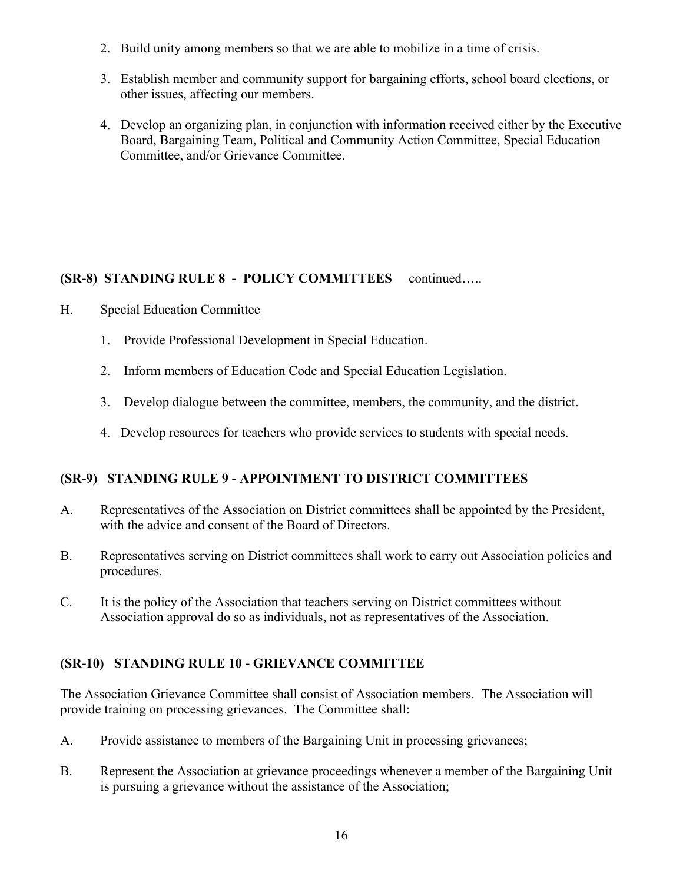- 2. Build unity among members so that we are able to mobilize in a time of crisis.
- 3. Establish member and community support for bargaining efforts, school board elections, or other issues, affecting our members.
- 4. Develop an organizing plan, in conjunction with information received either by the Executive Board, Bargaining Team, Political and Community Action Committee, Special Education Committee, and/or Grievance Committee.

# **(SR-8) STANDING RULE 8 - POLICY COMMITTEES** continued…..

- H. Special Education Committee
	- 1. Provide Professional Development in Special Education.
	- 2. Inform members of Education Code and Special Education Legislation.
	- 3. Develop dialogue between the committee, members, the community, and the district.
	- 4. Develop resources for teachers who provide services to students with special needs.

# **(SR-9) STANDING RULE 9 - APPOINTMENT TO DISTRICT COMMITTEES**

- A. Representatives of the Association on District committees shall be appointed by the President, with the advice and consent of the Board of Directors.
- B. Representatives serving on District committees shall work to carry out Association policies and procedures.
- C. It is the policy of the Association that teachers serving on District committees without Association approval do so as individuals, not as representatives of the Association.

# **(SR-10) STANDING RULE 10 - GRIEVANCE COMMITTEE**

The Association Grievance Committee shall consist of Association members. The Association will provide training on processing grievances. The Committee shall:

- A. Provide assistance to members of the Bargaining Unit in processing grievances;
- B. Represent the Association at grievance proceedings whenever a member of the Bargaining Unit is pursuing a grievance without the assistance of the Association;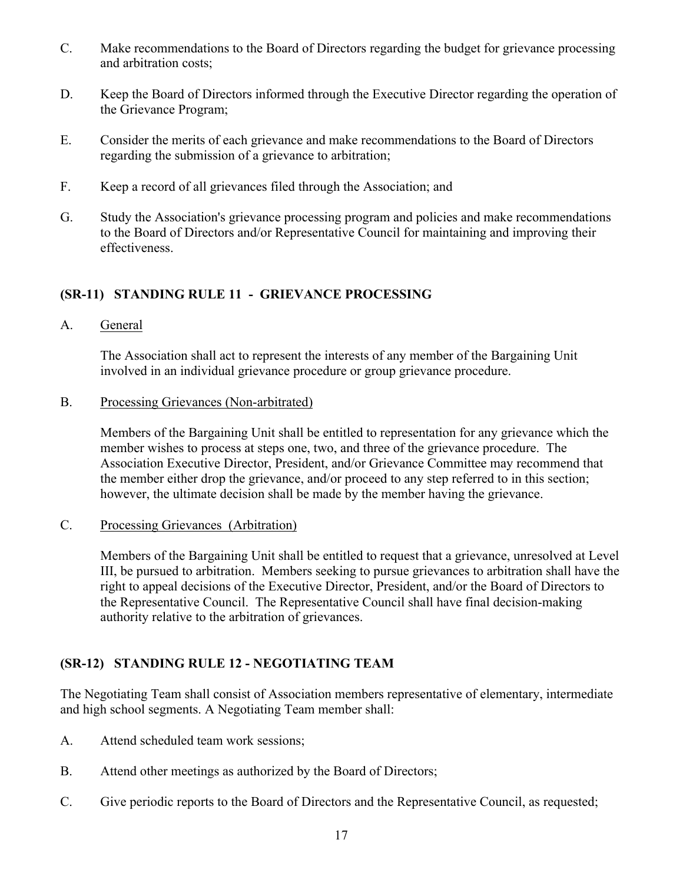- C. Make recommendations to the Board of Directors regarding the budget for grievance processing and arbitration costs;
- D. Keep the Board of Directors informed through the Executive Director regarding the operation of the Grievance Program;
- E. Consider the merits of each grievance and make recommendations to the Board of Directors regarding the submission of a grievance to arbitration;
- F. Keep a record of all grievances filed through the Association; and
- G. Study the Association's grievance processing program and policies and make recommendations to the Board of Directors and/or Representative Council for maintaining and improving their effectiveness.

# **(SR-11) STANDING RULE 11 - GRIEVANCE PROCESSING**

A. General

The Association shall act to represent the interests of any member of the Bargaining Unit involved in an individual grievance procedure or group grievance procedure.

B. Processing Grievances (Non-arbitrated)

Members of the Bargaining Unit shall be entitled to representation for any grievance which the member wishes to process at steps one, two, and three of the grievance procedure. The Association Executive Director, President, and/or Grievance Committee may recommend that the member either drop the grievance, and/or proceed to any step referred to in this section; however, the ultimate decision shall be made by the member having the grievance.

C. Processing Grievances (Arbitration)

Members of the Bargaining Unit shall be entitled to request that a grievance, unresolved at Level III, be pursued to arbitration. Members seeking to pursue grievances to arbitration shall have the right to appeal decisions of the Executive Director, President, and/or the Board of Directors to the Representative Council. The Representative Council shall have final decision-making authority relative to the arbitration of grievances.

# **(SR-12) STANDING RULE 12 - NEGOTIATING TEAM**

The Negotiating Team shall consist of Association members representative of elementary, intermediate and high school segments. A Negotiating Team member shall:

- A. Attend scheduled team work sessions;
- B. Attend other meetings as authorized by the Board of Directors;
- C. Give periodic reports to the Board of Directors and the Representative Council, as requested;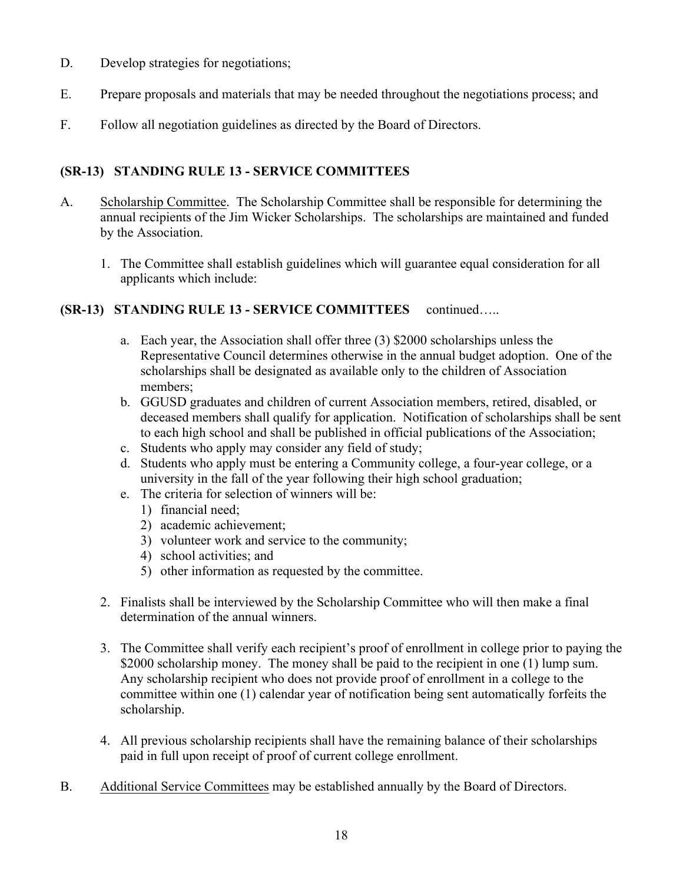- D. Develop strategies for negotiations;
- E. Prepare proposals and materials that may be needed throughout the negotiations process; and
- F. Follow all negotiation guidelines as directed by the Board of Directors.

# **(SR-13) STANDING RULE 13 - SERVICE COMMITTEES**

- A. Scholarship Committee. The Scholarship Committee shall be responsible for determining the annual recipients of the Jim Wicker Scholarships. The scholarships are maintained and funded by the Association.
	- 1. The Committee shall establish guidelines which will guarantee equal consideration for all applicants which include:

## **(SR-13) STANDING RULE 13 - SERVICE COMMITTEES** continued…..

- a. Each year, the Association shall offer three (3) \$2000 scholarships unless the Representative Council determines otherwise in the annual budget adoption. One of the scholarships shall be designated as available only to the children of Association members;
- b. GGUSD graduates and children of current Association members, retired, disabled, or deceased members shall qualify for application. Notification of scholarships shall be sent to each high school and shall be published in official publications of the Association;
- c. Students who apply may consider any field of study;
- d. Students who apply must be entering a Community college, a four-year college, or a university in the fall of the year following their high school graduation;
- e. The criteria for selection of winners will be:
	- 1) financial need;
	- 2) academic achievement;
	- 3) volunteer work and service to the community;
	- 4) school activities; and
	- 5) other information as requested by the committee.
- 2. Finalists shall be interviewed by the Scholarship Committee who will then make a final determination of the annual winners.
- 3. The Committee shall verify each recipient's proof of enrollment in college prior to paying the \$2000 scholarship money. The money shall be paid to the recipient in one (1) lump sum. Any scholarship recipient who does not provide proof of enrollment in a college to the committee within one (1) calendar year of notification being sent automatically forfeits the scholarship.
- 4. All previous scholarship recipients shall have the remaining balance of their scholarships paid in full upon receipt of proof of current college enrollment.
- B. Additional Service Committees may be established annually by the Board of Directors.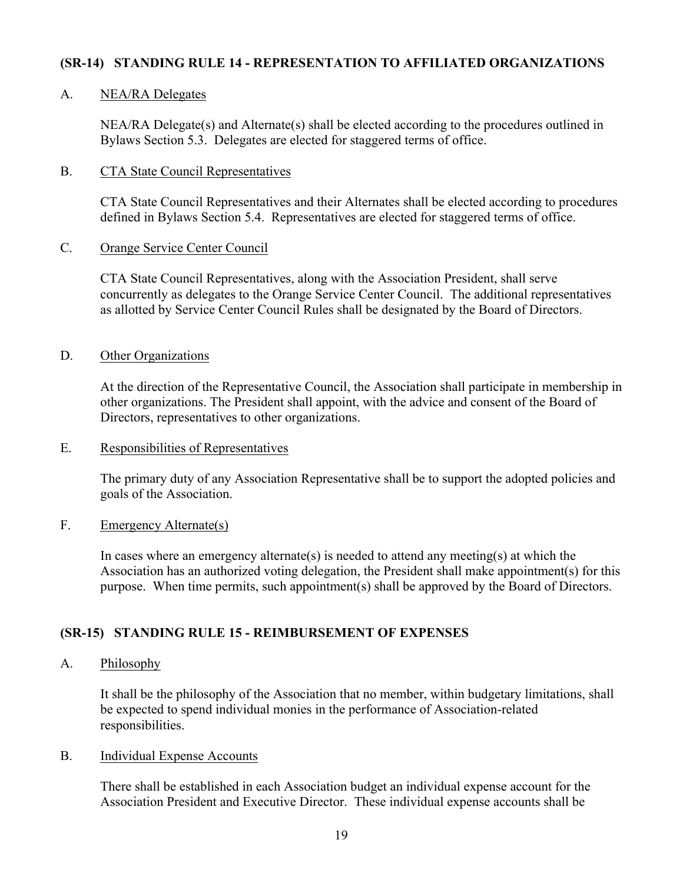## **(SR-14) STANDING RULE 14 - REPRESENTATION TO AFFILIATED ORGANIZATIONS**

#### A. NEA/RA Delegates

NEA/RA Delegate(s) and Alternate(s) shall be elected according to the procedures outlined in Bylaws Section 5.3. Delegates are elected for staggered terms of office.

#### B. CTA State Council Representatives

CTA State Council Representatives and their Alternates shall be elected according to procedures defined in Bylaws Section 5.4. Representatives are elected for staggered terms of office.

## C. Orange Service Center Council

CTA State Council Representatives, along with the Association President, shall serve concurrently as delegates to the Orange Service Center Council. The additional representatives as allotted by Service Center Council Rules shall be designated by the Board of Directors.

#### D. Other Organizations

At the direction of the Representative Council, the Association shall participate in membership in other organizations. The President shall appoint, with the advice and consent of the Board of Directors, representatives to other organizations.

#### E. Responsibilities of Representatives

The primary duty of any Association Representative shall be to support the adopted policies and goals of the Association.

#### F. Emergency Alternate(s)

In cases where an emergency alternate(s) is needed to attend any meeting(s) at which the Association has an authorized voting delegation, the President shall make appointment(s) for this purpose. When time permits, such appointment(s) shall be approved by the Board of Directors.

## **(SR-15) STANDING RULE 15 - REIMBURSEMENT OF EXPENSES**

#### A. Philosophy

It shall be the philosophy of the Association that no member, within budgetary limitations, shall be expected to spend individual monies in the performance of Association-related responsibilities.

#### B. Individual Expense Accounts

There shall be established in each Association budget an individual expense account for the Association President and Executive Director. These individual expense accounts shall be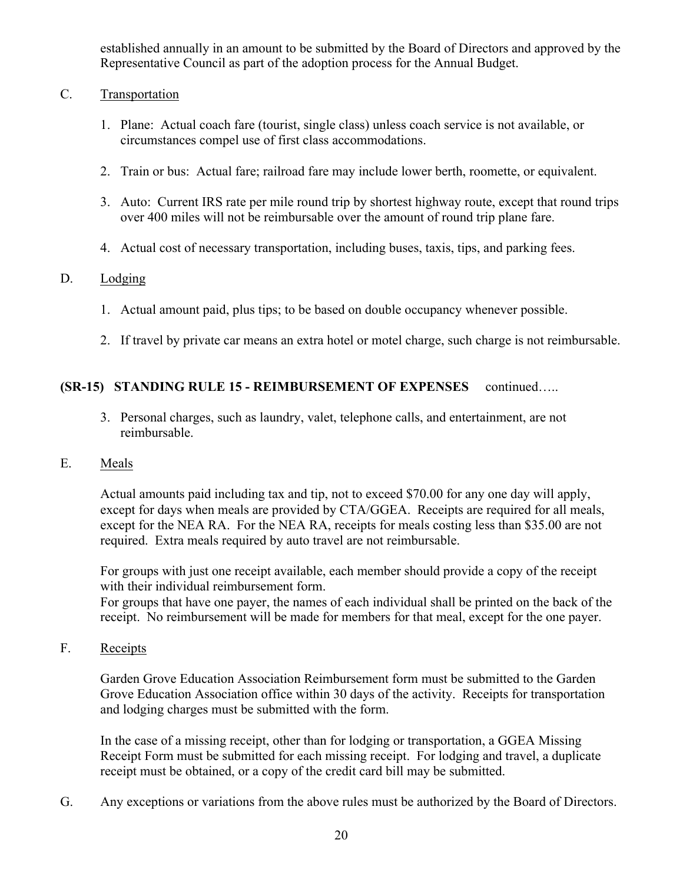established annually in an amount to be submitted by the Board of Directors and approved by the Representative Council as part of the adoption process for the Annual Budget.

- C. Transportation
	- 1. Plane: Actual coach fare (tourist, single class) unless coach service is not available, or circumstances compel use of first class accommodations.
	- 2. Train or bus: Actual fare; railroad fare may include lower berth, roomette, or equivalent.
	- 3. Auto: Current IRS rate per mile round trip by shortest highway route, except that round trips over 400 miles will not be reimbursable over the amount of round trip plane fare.
	- 4. Actual cost of necessary transportation, including buses, taxis, tips, and parking fees.

## D. Lodging

- 1. Actual amount paid, plus tips; to be based on double occupancy whenever possible.
- 2. If travel by private car means an extra hotel or motel charge, such charge is not reimbursable.

## **(SR-15) STANDING RULE 15 - REIMBURSEMENT OF EXPENSES** continued…..

3. Personal charges, such as laundry, valet, telephone calls, and entertainment, are not reimbursable.

#### E. Meals

Actual amounts paid including tax and tip, not to exceed \$70.00 for any one day will apply, except for days when meals are provided by CTA/GGEA. Receipts are required for all meals, except for the NEA RA. For the NEA RA, receipts for meals costing less than \$35.00 are not required. Extra meals required by auto travel are not reimbursable.

For groups with just one receipt available, each member should provide a copy of the receipt with their individual reimbursement form.

For groups that have one payer, the names of each individual shall be printed on the back of the receipt. No reimbursement will be made for members for that meal, except for the one payer.

F. Receipts

Garden Grove Education Association Reimbursement form must be submitted to the Garden Grove Education Association office within 30 days of the activity. Receipts for transportation and lodging charges must be submitted with the form.

In the case of a missing receipt, other than for lodging or transportation, a GGEA Missing Receipt Form must be submitted for each missing receipt. For lodging and travel, a duplicate receipt must be obtained, or a copy of the credit card bill may be submitted.

G. Any exceptions or variations from the above rules must be authorized by the Board of Directors.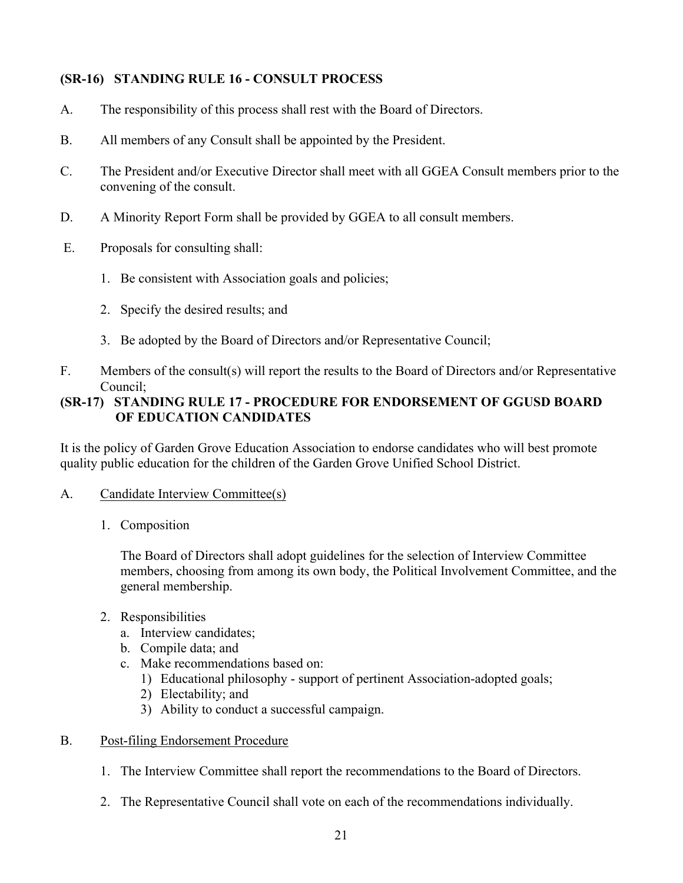# **(SR-16) STANDING RULE 16 - CONSULT PROCESS**

- A. The responsibility of this process shall rest with the Board of Directors.
- B. All members of any Consult shall be appointed by the President.
- C. The President and/or Executive Director shall meet with all GGEA Consult members prior to the convening of the consult.
- D. A Minority Report Form shall be provided by GGEA to all consult members.
- E. Proposals for consulting shall:
	- 1. Be consistent with Association goals and policies;
	- 2. Specify the desired results; and
	- 3. Be adopted by the Board of Directors and/or Representative Council;
- F. Members of the consult(s) will report the results to the Board of Directors and/or Representative Council;

# **(SR-17) STANDING RULE 17 - PROCEDURE FOR ENDORSEMENT OF GGUSD BOARD OF EDUCATION CANDIDATES**

It is the policy of Garden Grove Education Association to endorse candidates who will best promote quality public education for the children of the Garden Grove Unified School District.

- A. Candidate Interview Committee(s)
	- 1. Composition

The Board of Directors shall adopt guidelines for the selection of Interview Committee members, choosing from among its own body, the Political Involvement Committee, and the general membership.

- 2. Responsibilities
	- a. Interview candidates;
	- b. Compile data; and
	- c. Make recommendations based on:
		- 1) Educational philosophy support of pertinent Association-adopted goals;
		- 2) Electability; and
		- 3) Ability to conduct a successful campaign.

#### B. Post-filing Endorsement Procedure

- 1. The Interview Committee shall report the recommendations to the Board of Directors.
- 2. The Representative Council shall vote on each of the recommendations individually.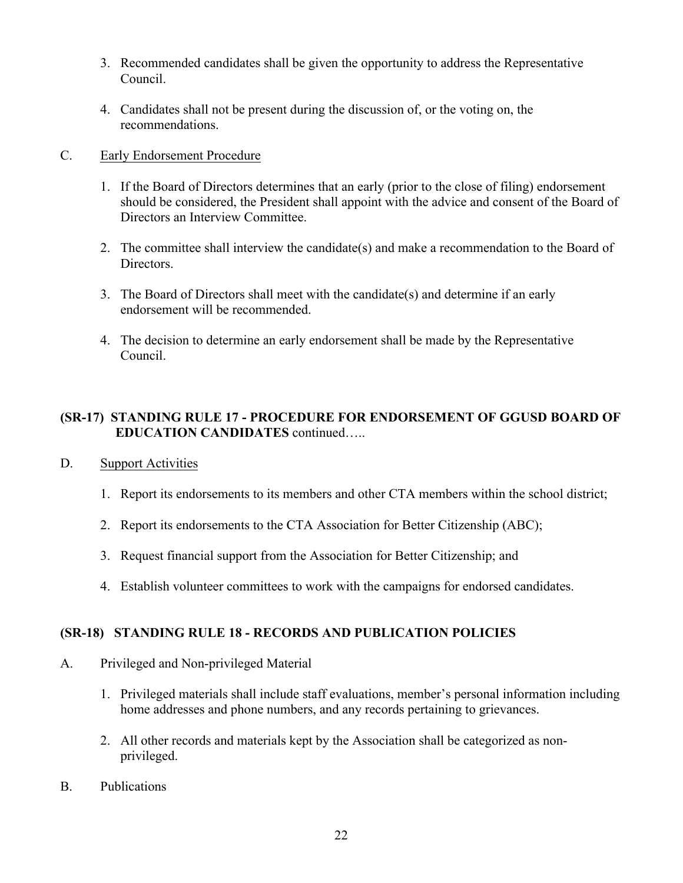- 3. Recommended candidates shall be given the opportunity to address the Representative Council.
- 4. Candidates shall not be present during the discussion of, or the voting on, the recommendations.

## C. Early Endorsement Procedure

- 1. If the Board of Directors determines that an early (prior to the close of filing) endorsement should be considered, the President shall appoint with the advice and consent of the Board of Directors an Interview Committee.
- 2. The committee shall interview the candidate(s) and make a recommendation to the Board of Directors.
- 3. The Board of Directors shall meet with the candidate(s) and determine if an early endorsement will be recommended.
- 4. The decision to determine an early endorsement shall be made by the Representative Council.

# **(SR-17) STANDING RULE 17 - PROCEDURE FOR ENDORSEMENT OF GGUSD BOARD OF EDUCATION CANDIDATES** continued…..

- D. Support Activities
	- 1. Report its endorsements to its members and other CTA members within the school district;
	- 2. Report its endorsements to the CTA Association for Better Citizenship (ABC);
	- 3. Request financial support from the Association for Better Citizenship; and
	- 4. Establish volunteer committees to work with the campaigns for endorsed candidates.

# **(SR-18) STANDING RULE 18 - RECORDS AND PUBLICATION POLICIES**

- A. Privileged and Non-privileged Material
	- 1. Privileged materials shall include staff evaluations, member's personal information including home addresses and phone numbers, and any records pertaining to grievances.
	- 2. All other records and materials kept by the Association shall be categorized as nonprivileged.
- B. Publications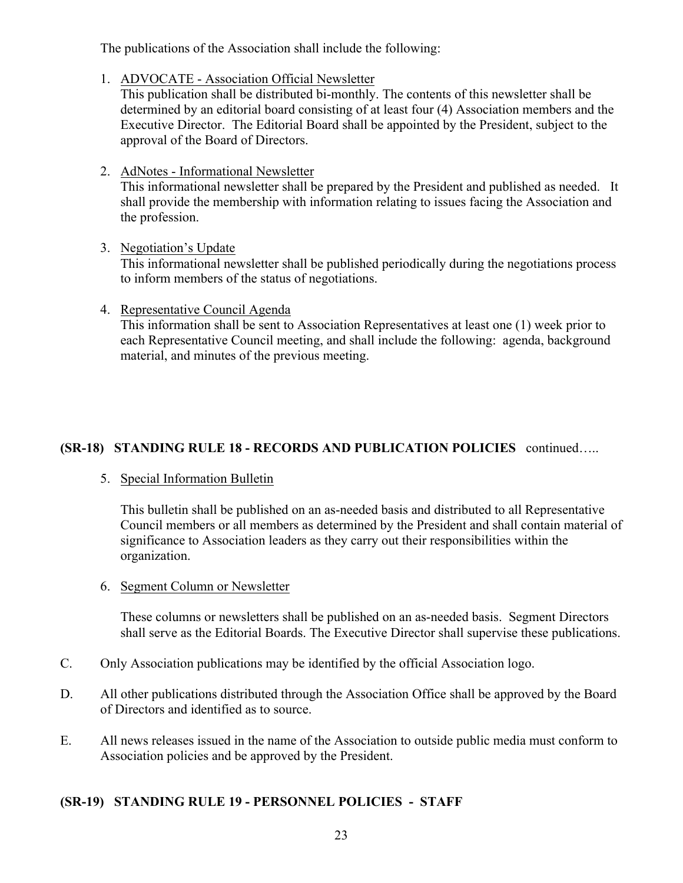The publications of the Association shall include the following:

1. ADVOCATE - Association Official Newsletter

This publication shall be distributed bi-monthly. The contents of this newsletter shall be determined by an editorial board consisting of at least four (4) Association members and the Executive Director. The Editorial Board shall be appointed by the President, subject to the approval of the Board of Directors.

2. AdNotes - Informational Newsletter

This informational newsletter shall be prepared by the President and published as needed. It shall provide the membership with information relating to issues facing the Association and the profession.

# 3. Negotiation's Update

This informational newsletter shall be published periodically during the negotiations process to inform members of the status of negotiations.

4. Representative Council Agenda

This information shall be sent to Association Representatives at least one (1) week prior to each Representative Council meeting, and shall include the following: agenda, background material, and minutes of the previous meeting.

# **(SR-18) STANDING RULE 18 - RECORDS AND PUBLICATION POLICIES** continued…..

# 5. Special Information Bulletin

This bulletin shall be published on an as-needed basis and distributed to all Representative Council members or all members as determined by the President and shall contain material of significance to Association leaders as they carry out their responsibilities within the organization.

6. Segment Column or Newsletter

These columns or newsletters shall be published on an as-needed basis. Segment Directors shall serve as the Editorial Boards. The Executive Director shall supervise these publications.

- C. Only Association publications may be identified by the official Association logo.
- D. All other publications distributed through the Association Office shall be approved by the Board of Directors and identified as to source.
- E. All news releases issued in the name of the Association to outside public media must conform to Association policies and be approved by the President.

# **(SR-19) STANDING RULE 19 - PERSONNEL POLICIES - STAFF**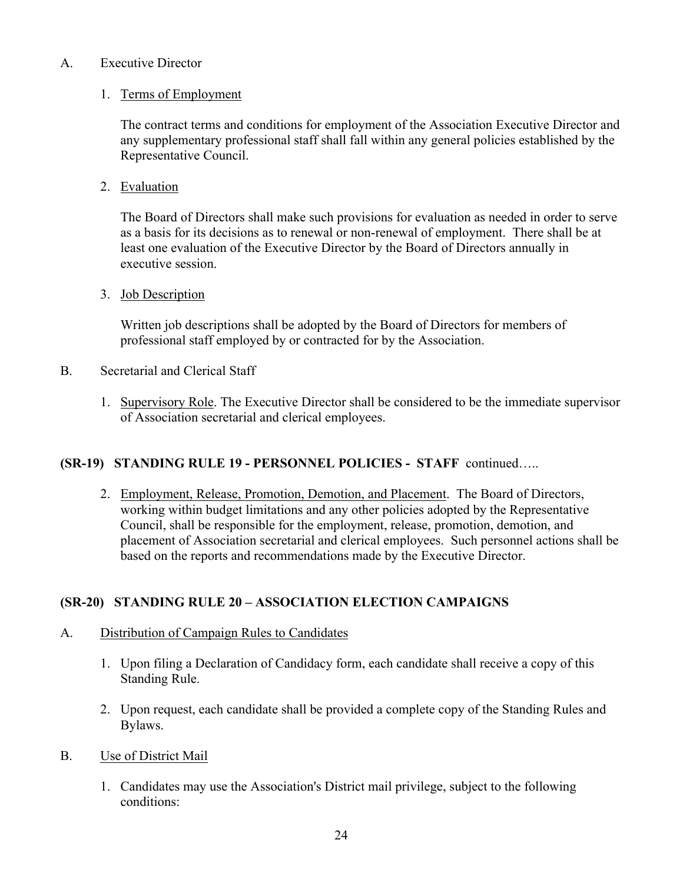## A. Executive Director

## 1. Terms of Employment

The contract terms and conditions for employment of the Association Executive Director and any supplementary professional staff shall fall within any general policies established by the Representative Council.

2. Evaluation

The Board of Directors shall make such provisions for evaluation as needed in order to serve as a basis for its decisions as to renewal or non-renewal of employment. There shall be at least one evaluation of the Executive Director by the Board of Directors annually in executive session.

3. Job Description

Written job descriptions shall be adopted by the Board of Directors for members of professional staff employed by or contracted for by the Association.

- B. Secretarial and Clerical Staff
	- 1. Supervisory Role. The Executive Director shall be considered to be the immediate supervisor of Association secretarial and clerical employees.

## **(SR-19) STANDING RULE 19 - PERSONNEL POLICIES - STAFF** continued…..

2. Employment, Release, Promotion, Demotion, and Placement. The Board of Directors, working within budget limitations and any other policies adopted by the Representative Council, shall be responsible for the employment, release, promotion, demotion, and placement of Association secretarial and clerical employees. Such personnel actions shall be based on the reports and recommendations made by the Executive Director.

# **(SR-20) STANDING RULE 20 – ASSOCIATION ELECTION CAMPAIGNS**

- A. Distribution of Campaign Rules to Candidates
	- 1. Upon filing a Declaration of Candidacy form, each candidate shall receive a copy of this Standing Rule.
	- 2. Upon request, each candidate shall be provided a complete copy of the Standing Rules and Bylaws.
- B. Use of District Mail
	- 1. Candidates may use the Association's District mail privilege, subject to the following conditions: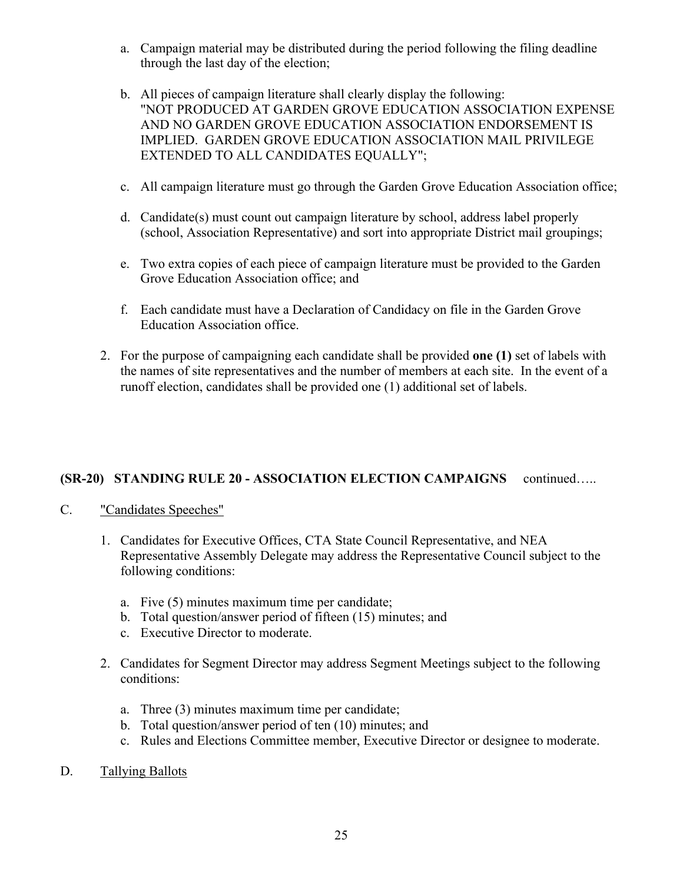- a. Campaign material may be distributed during the period following the filing deadline through the last day of the election;
- b. All pieces of campaign literature shall clearly display the following: "NOT PRODUCED AT GARDEN GROVE EDUCATION ASSOCIATION EXPENSE AND NO GARDEN GROVE EDUCATION ASSOCIATION ENDORSEMENT IS IMPLIED. GARDEN GROVE EDUCATION ASSOCIATION MAIL PRIVILEGE EXTENDED TO ALL CANDIDATES EQUALLY";
- c. All campaign literature must go through the Garden Grove Education Association office;
- d. Candidate(s) must count out campaign literature by school, address label properly (school, Association Representative) and sort into appropriate District mail groupings;
- e. Two extra copies of each piece of campaign literature must be provided to the Garden Grove Education Association office; and
- f. Each candidate must have a Declaration of Candidacy on file in the Garden Grove Education Association office.
- 2. For the purpose of campaigning each candidate shall be provided **one (1)** set of labels with the names of site representatives and the number of members at each site. In the event of a runoff election, candidates shall be provided one (1) additional set of labels.

## **(SR-20) STANDING RULE 20 - ASSOCIATION ELECTION CAMPAIGNS** continued…..

- C. "Candidates Speeches"
	- 1. Candidates for Executive Offices, CTA State Council Representative, and NEA Representative Assembly Delegate may address the Representative Council subject to the following conditions:
		- a. Five (5) minutes maximum time per candidate;
		- b. Total question/answer period of fifteen (15) minutes; and
		- c. Executive Director to moderate.
	- 2. Candidates for Segment Director may address Segment Meetings subject to the following conditions:
		- a. Three (3) minutes maximum time per candidate;
		- b. Total question/answer period of ten (10) minutes; and
		- c. Rules and Elections Committee member, Executive Director or designee to moderate.
- D. Tallying Ballots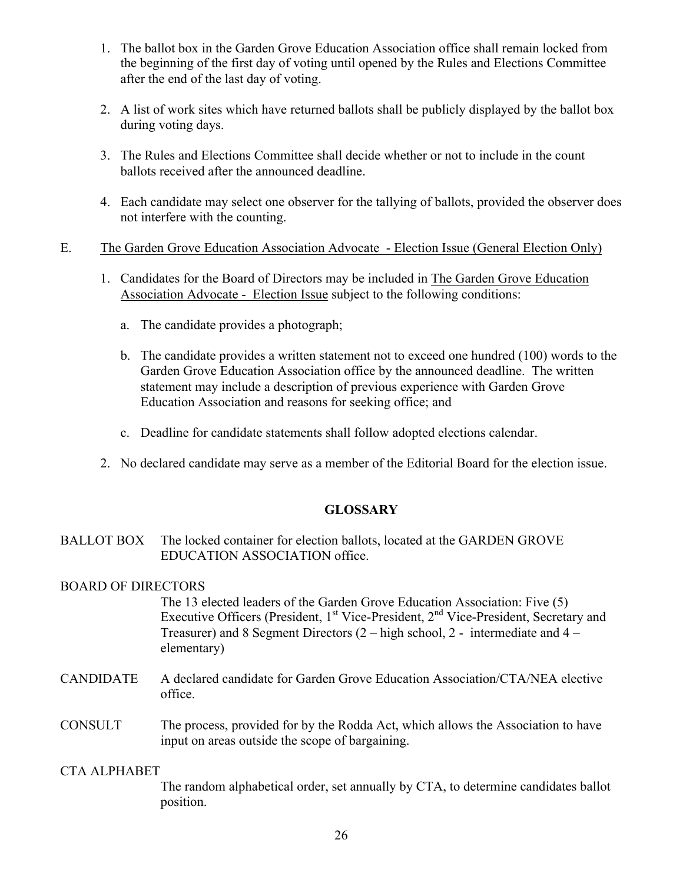- 1. The ballot box in the Garden Grove Education Association office shall remain locked from the beginning of the first day of voting until opened by the Rules and Elections Committee after the end of the last day of voting.
- 2. A list of work sites which have returned ballots shall be publicly displayed by the ballot box during voting days.
- 3. The Rules and Elections Committee shall decide whether or not to include in the count ballots received after the announced deadline.
- 4. Each candidate may select one observer for the tallying of ballots, provided the observer does not interfere with the counting.

## E. The Garden Grove Education Association Advocate - Election Issue (General Election Only)

- 1. Candidates for the Board of Directors may be included in The Garden Grove Education Association Advocate - Election Issue subject to the following conditions:
	- a. The candidate provides a photograph;
	- b. The candidate provides a written statement not to exceed one hundred (100) words to the Garden Grove Education Association office by the announced deadline. The written statement may include a description of previous experience with Garden Grove Education Association and reasons for seeking office; and
	- c. Deadline for candidate statements shall follow adopted elections calendar.
- 2. No declared candidate may serve as a member of the Editorial Board for the election issue.

## **GLOSSARY**

BALLOT BOX The locked container for election ballots, located at the GARDEN GROVE EDUCATION ASSOCIATION office.

#### BOARD OF DIRECTORS

The 13 elected leaders of the Garden Grove Education Association: Five (5) Executive Officers (President,  $1<sup>st</sup>$  Vice-President,  $2<sup>nd</sup>$  Vice-President, Secretary and Treasurer) and 8 Segment Directors (2 – high school, 2 - intermediate and 4 – elementary)

CANDIDATE A declared candidate for Garden Grove Education Association/CTA/NEA elective office.

## CONSULT The process, provided for by the Rodda Act, which allows the Association to have input on areas outside the scope of bargaining.

#### CTA ALPHABET

The random alphabetical order, set annually by CTA, to determine candidates ballot position.